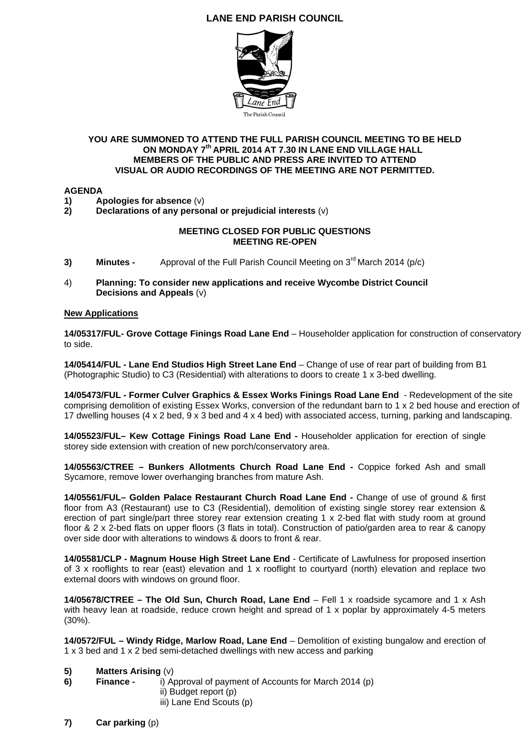# **LANE END PARISH COUNCIL**



# **YOU ARE SUMMONED TO ATTEND THE FULL PARISH COUNCIL MEETING TO BE HELD ON MONDAY 7th APRIL 2014 AT 7.30 IN LANE END VILLAGE HALL MEMBERS OF THE PUBLIC AND PRESS ARE INVITED TO ATTEND VISUAL OR AUDIO RECORDINGS OF THE MEETING ARE NOT PERMITTED.**

## **AGENDA**

**1)** Apologies for absence (v)<br>**2)** Declarations of any perso

**2) Declarations of any personal or prejudicial interests** (v)

## **MEETING CLOSED FOR PUBLIC QUESTIONS MEETING RE-OPEN**

- **3) Minutes -** Approval of the Full Parish Council Meeting on 3<sup>rd</sup> March 2014 (p/c)
- 4) **Planning: To consider new applications and receive Wycombe District Council Decisions and Appeals** (v)

## **New Applications**

**14/05317/FUL- Grove Cottage Finings Road Lane End** – Householder application for construction of conservatory to side.

**14/05414/FUL - Lane End Studios High Street Lane End** – Change of use of rear part of building from B1 (Photographic Studio) to C3 (Residential) with alterations to doors to create 1 x 3-bed dwelling.

**14/05473/FUL - Former Culver Graphics & Essex Works Finings Road Lane End** - Redevelopment of the site comprising demolition of existing Essex Works, conversion of the redundant barn to 1 x 2 bed house and erection of 17 dwelling houses (4 x 2 bed, 9 x 3 bed and 4 x 4 bed) with associated access, turning, parking and landscaping.

**14/05523/FUL– Kew Cottage Finings Road Lane End -** Householder application for erection of single storey side extension with creation of new porch/conservatory area.

**14/05563/CTREE – Bunkers Allotments Church Road Lane End -** Coppice forked Ash and small Sycamore, remove lower overhanging branches from mature Ash.

**14/05561/FUL– Golden Palace Restaurant Church Road Lane End -** Change of use of ground & first floor from A3 (Restaurant) use to C3 (Residential), demolition of existing single storey rear extension & erection of part single/part three storey rear extension creating 1 x 2-bed flat with study room at ground floor & 2 x 2-bed flats on upper floors (3 flats in total). Construction of patio/garden area to rear & canopy over side door with alterations to windows & doors to front & rear.

**14/05581/CLP - Magnum House High Street Lane End** - Certificate of Lawfulness for proposed insertion of 3 x rooflights to rear (east) elevation and 1 x rooflight to courtyard (north) elevation and replace two external doors with windows on ground floor.

**14/05678/CTREE – The Old Sun, Church Road, Lane End** – Fell 1 x roadside sycamore and 1 x Ash with heavy lean at roadside, reduce crown height and spread of 1 x poplar by approximately 4-5 meters (30%).

**14/0572/FUL – Windy Ridge, Marlow Road, Lane End** – Demolition of existing bungalow and erection of 1 x 3 bed and 1 x 2 bed semi-detached dwellings with new access and parking

- **5) Matters Arising** (v)
- **6) Finance** i) Approval of payment of Accounts for March 2014 (p) ii) Budget report (p)
	- iii) Lane End Scouts (p)
- **7) Car parking** (p)